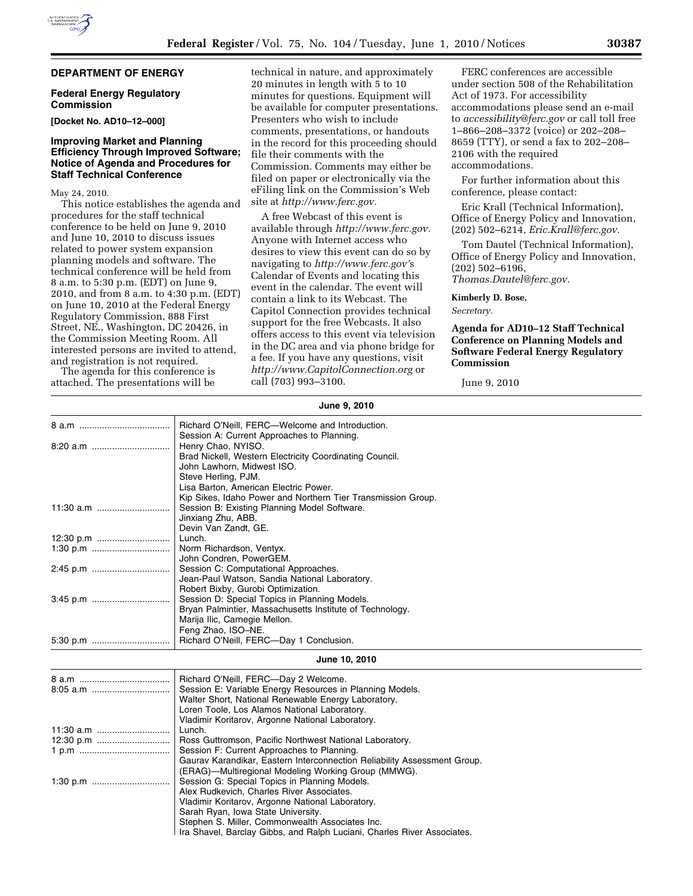# **DEPARTMENT OF ENERGY**

## **Federal Energy Regulatory Commission**

**[Docket No. AD10–12–000]** 

#### **Improving Market and Planning Efficiency Through Improved Software; Notice of Agenda and Procedures for Staff Technical Conference**

May 24, 2010.

This notice establishes the agenda and procedures for the staff technical conference to be held on June 9, 2010 and June 10, 2010 to discuss issues related to power system expansion planning models and software. The technical conference will be held from 8 a.m. to 5:30 p.m. (EDT) on June 9, 2010, and from 8 a.m. to 4:30 p.m. (EDT) on June 10, 2010 at the Federal Energy Regulatory Commission, 888 First Street, NE., Washington, DC 20426, in the Commission Meeting Room. All interested persons are invited to attend, and registration is not required.

The agenda for this conference is attached. The presentations will be

technical in nature, and approximately 20 minutes in length with 5 to 10 minutes for questions. Equipment will be available for computer presentations. Presenters who wish to include comments, presentations, or handouts in the record for this proceeding should file their comments with the Commission. Comments may either be filed on paper or electronically via the eFiling link on the Commission's Web site at *http://www.ferc.gov.* 

A free Webcast of this event is available through *http://www.ferc.gov.*  Anyone with Internet access who desires to view this event can do so by navigating to *http://www.ferc.gov'*s Calendar of Events and locating this event in the calendar. The event will contain a link to its Webcast. The Capitol Connection provides technical support for the free Webcasts. It also offers access to this event via television in the DC area and via phone bridge for a fee. If you have any questions, visit *http://www.CapitolConnection.org* or call (703) 993–3100.

FERC conferences are accessible under section 508 of the Rehabilitation Act of 1973. For accessibility accommodations please send an e-mail to *accessibility@ferc.gov* or call toll free 1–866–208–3372 (voice) or 202–208– 8659 (TTY), or send a fax to 202–208– 2106 with the required accommodations.

For further information about this conference, please contact:

Eric Krall (Technical Information), Office of Energy Policy and Innovation, (202) 502–6214, *Eric.Krall@ferc.gov.* 

Tom Dautel (Technical Information), Office of Energy Policy and Innovation, (202) 502–6196, *Thomas.Dautel@ferc.gov.* 

**Kimberly D. Bose,** 

*Secretary.* 

## **Agenda for AD10–12 Staff Technical Conference on Planning Models and Software Federal Energy Regulatory Commission**

June 9, 2010

| June 9, 2010  |                                                                                                                                                                                                                                             |
|---------------|---------------------------------------------------------------------------------------------------------------------------------------------------------------------------------------------------------------------------------------------|
|               | Richard O'Neill, FERC-Welcome and Introduction.<br>Session A: Current Approaches to Planning.                                                                                                                                               |
|               | Henry Chao, NYISO.<br>Brad Nickell, Western Electricity Coordinating Council.<br>John Lawhorn, Midwest ISO.<br>Steve Herling, PJM.<br>Lisa Barton, American Electric Power.<br>Kip Sikes, Idaho Power and Northern Tier Transmission Group. |
|               | Session B: Existing Planning Model Software.<br>Jinxiang Zhu, ABB.<br>Devin Van Zandt, GE.                                                                                                                                                  |
|               | Lunch.                                                                                                                                                                                                                                      |
|               | Norm Richardson, Ventyx.<br>John Condren, PowerGEM.                                                                                                                                                                                         |
| 2:45 p.m      | Session C: Computational Approaches.<br>Jean-Paul Watson, Sandia National Laboratory.<br>Robert Bixby, Gurobi Optimization.                                                                                                                 |
|               | Session D: Special Topics in Planning Models.<br>Bryan Palmintier, Massachusetts Institute of Technology.<br>Marija Ilic, Carnegie Mellon.<br>Feng Zhao, ISO-NE.                                                                            |
| 5:30 p.m      | Richard O'Neill, FERC-Day 1 Conclusion.                                                                                                                                                                                                     |
| June 10, 2010 |                                                                                                                                                                                                                                             |
|               | Richard O'Neill, FERC-Day 2 Welcome.                                                                                                                                                                                                        |
|               | Session E: Variable Energy Resources in Planning Models.                                                                                                                                                                                    |
|               | Walter Short, National Renewable Energy Laboratory.                                                                                                                                                                                         |
|               | Loren Toole, Los Alamos National Laboratory.                                                                                                                                                                                                |
|               | Vladimir Koritarov, Argonne National Laboratory.                                                                                                                                                                                            |
|               | Lunch.                                                                                                                                                                                                                                      |
|               | Ross Guttromson, Pacific Northwest National Laboratory.                                                                                                                                                                                     |
|               | Session F: Current Approaches to Planning.                                                                                                                                                                                                  |
|               | Gaurav Karandikar, Eastern Interconnection Reliability Assessment Group.                                                                                                                                                                    |
|               | (ERAG)—Multiregional Modeling Working Group (MMWG).                                                                                                                                                                                         |
|               | Session G: Special Topics in Planning Models.<br>Alex Rudkevich, Charles River Associates.                                                                                                                                                  |
|               | Vladimir Koritarov, Argonne National Laboratory.                                                                                                                                                                                            |
|               | Sarah Ryan, Iowa State University.                                                                                                                                                                                                          |
|               | Stephen S. Miller, Commonwealth Associates Inc.                                                                                                                                                                                             |
|               | Ira Shavel, Barclay Gibbs, and Ralph Luciani, Charles River Associates.                                                                                                                                                                     |